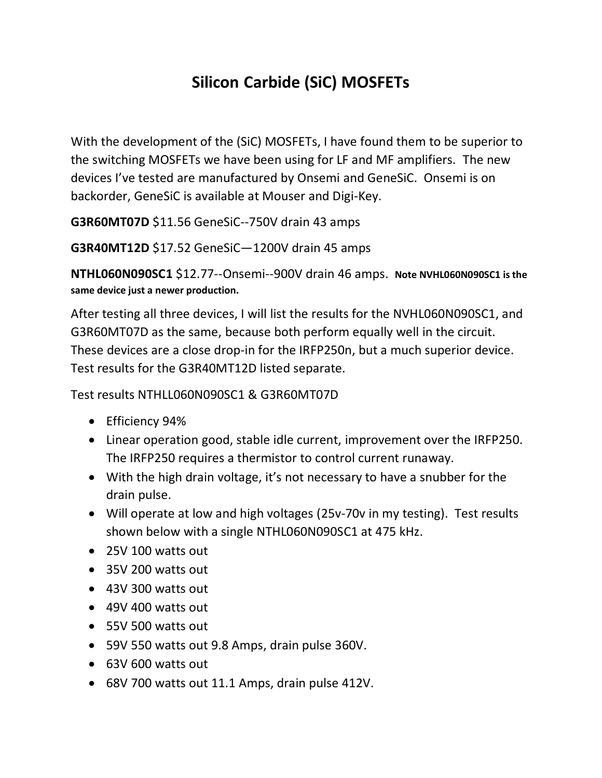## **Silicon Carbide (SiC) MOSFETs**

With the development of the (SiC) MOSFETs, I have found them to be superior to the switching MOSFETs we have been using for LF and MF amplifiers. The new devices I've tested are manufactured by Onsemi and GeneSiC. Onsemi is on backorder, GeneSiC is available at Mouser and Digi-Key.

**G3R60MT07D** \$11.56 GeneSiC--750V drain 43 amps

**G3R40MT12D** \$17.52 GeneSiC—1200V drain 45 amps

**NTHL060N090SC1** \$12.77--Onsemi--900V drain 46 amps. **Note NVHL060N090SC1 is the same device just a newer production.**

After testing all three devices, I will list the results for the NVHL060N090SC1, and G3R60MT07D as the same, because both perform equally well in the circuit. These devices are a close drop-in for the IRFP250n, but a much superior device. Test results for the G3R40MT12D listed separate.

Test results NTHLL060N090SC1 & G3R60MT07D

- Efficiency 94%
- Linear operation good, stable idle current, improvement over the IRFP250. The IRFP250 requires a thermistor to control current runaway.
- With the high drain voltage, it's not necessary to have a snubber for the drain pulse.
- Will operate at low and high voltages (25v-70v in my testing). Test results shown below with a single NTHL060N090SC1 at 475 kHz.
- 25V 100 watts out
- 35V 200 watts out
- 43V 300 watts out
- 49V 400 watts out
- 55V 500 watts out
- 59V 550 watts out 9.8 Amps, drain pulse 360V.
- 63V 600 watts out
- 68V 700 watts out 11.1 Amps, drain pulse 412V.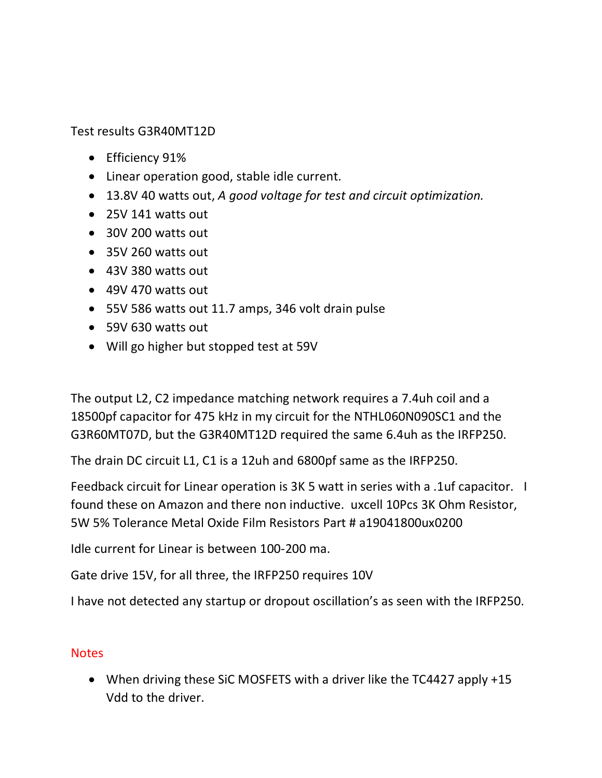Test results G3R40MT12D

- Efficiency 91%
- Linear operation good, stable idle current.
- 13.8V 40 watts out, *A good voltage for test and circuit optimization.*
- 25V 141 watts out
- 30V 200 watts out
- 35V 260 watts out
- 43V 380 watts out
- 49V 470 watts out
- 55V 586 watts out 11.7 amps, 346 volt drain pulse
- 59V 630 watts out
- Will go higher but stopped test at 59V

The output L2, C2 impedance matching network requires a 7.4uh coil and a 18500pf capacitor for 475 kHz in my circuit for the NTHL060N090SC1 and the G3R60MT07D, but the G3R40MT12D required the same 6.4uh as the IRFP250.

The drain DC circuit L1, C1 is a 12uh and 6800pf same as the IRFP250.

Feedback circuit for Linear operation is 3K 5 watt in series with a .1uf capacitor. I found these on Amazon and there non inductive. uxcell 10Pcs 3K Ohm Resistor, 5W 5% Tolerance Metal Oxide Film Resistors Part # a19041800ux0200

Idle current for Linear is between 100-200 ma.

Gate drive 15V, for all three, the IRFP250 requires 10V

I have not detected any startup or dropout oscillation's as seen with the IRFP250.

## **Notes**

• When driving these SiC MOSFETS with a driver like the TC4427 apply +15 Vdd to the driver.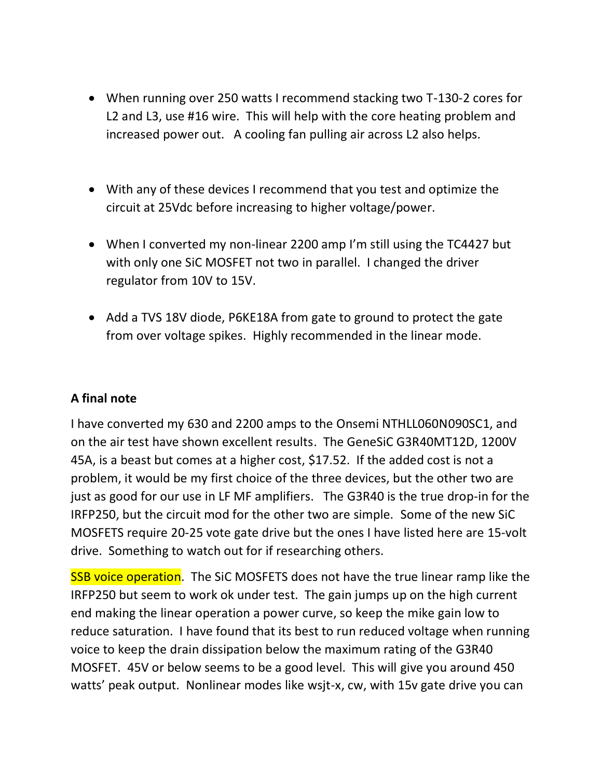- When running over 250 watts I recommend stacking two T-130-2 cores for L2 and L3, use #16 wire. This will help with the core heating problem and increased power out. A cooling fan pulling air across L2 also helps.
- With any of these devices I recommend that you test and optimize the circuit at 25Vdc before increasing to higher voltage/power.
- When I converted my non-linear 2200 amp I'm still using the TC4427 but with only one SiC MOSFET not two in parallel. I changed the driver regulator from 10V to 15V.
- Add a TVS 18V diode, P6KE18A from gate to ground to protect the gate from over voltage spikes. Highly recommended in the linear mode.

## **A final note**

I have converted my 630 and 2200 amps to the Onsemi NTHLL060N090SC1, and on the air test have shown excellent results. The GeneSiC G3R40MT12D, 1200V 45A, is a beast but comes at a higher cost, \$17.52. If the added cost is not a problem, it would be my first choice of the three devices, but the other two are just as good for our use in LF MF amplifiers. The G3R40 is the true drop-in for the IRFP250, but the circuit mod for the other two are simple. Some of the new SiC MOSFETS require 20-25 vote gate drive but the ones I have listed here are 15-volt drive. Something to watch out for if researching others.

**SSB voice operation.** The SiC MOSFETS does not have the true linear ramp like the IRFP250 but seem to work ok under test. The gain jumps up on the high current end making the linear operation a power curve, so keep the mike gain low to reduce saturation. I have found that its best to run reduced voltage when running voice to keep the drain dissipation below the maximum rating of the G3R40 MOSFET. 45V or below seems to be a good level. This will give you around 450 watts' peak output. Nonlinear modes like wsjt-x, cw, with 15v gate drive you can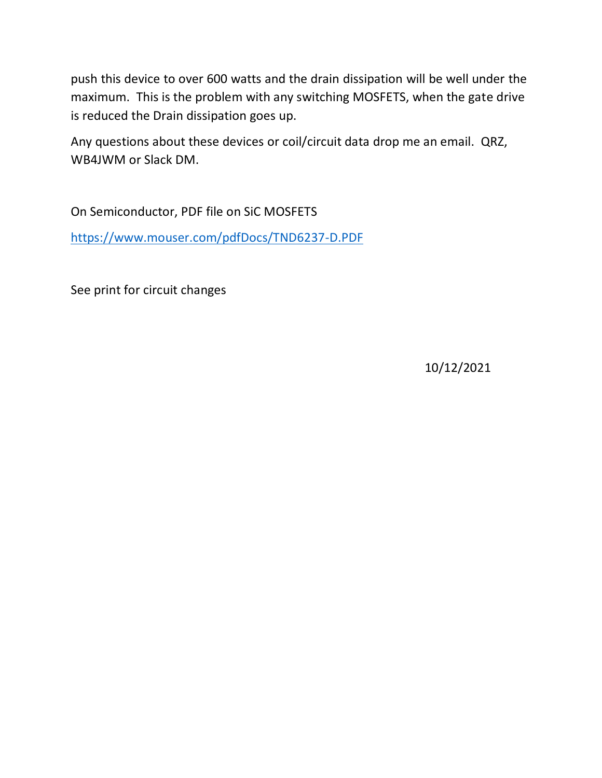push this device to over 600 watts and the drain dissipation will be well under the maximum. This is the problem with any switching MOSFETS, when the gate drive is reduced the Drain dissipation goes up.

Any questions about these devices or coil/circuit data drop me an email. QRZ, WB4JWM or Slack DM.

On Semiconductor, PDF file on SiC MOSFETS <https://www.mouser.com/pdfDocs/TND6237-D.PDF>

See print for circuit changes

10/12/2021